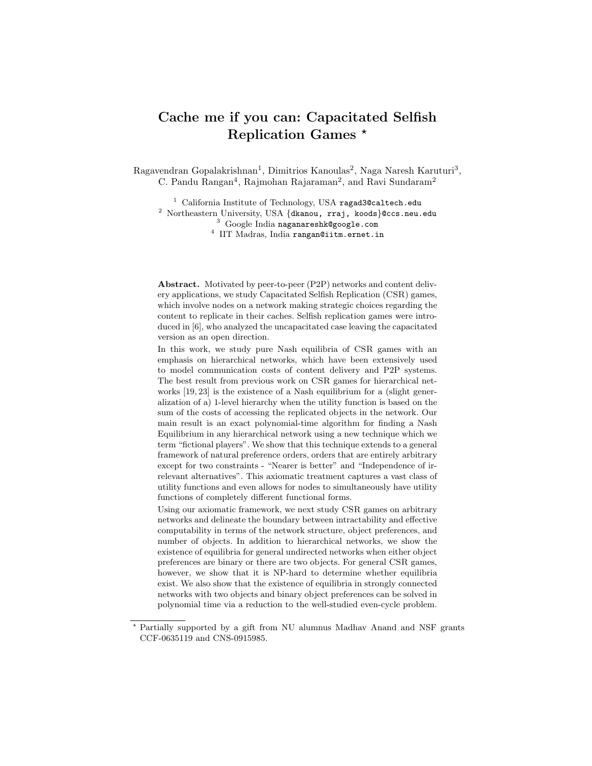# Cache me if you can: Capacitated Selfish Replication Games \*

Ragavendran Gopalakrishnan<sup>1</sup>, Dimitrios Kanoulas<sup>2</sup>, Naga Naresh Karuturi<sup>3</sup>, C. Pandu Rangan<sup>4</sup>, Rajmohan Rajaraman<sup>2</sup>, and Ravi Sundaram<sup>2</sup>

<sup>1</sup> California Institute of Technology, USA ragad3@caltech.edu

<sup>2</sup> Northeastern University, USA {dkanou, rraj, koods}@ccs.neu.edu

<sup>3</sup> Google India naganareshk@google.com

4 IIT Madras, India rangan@iitm.ernet.in

Abstract. Motivated by peer-to-peer (P2P) networks and content delivery applications, we study Capacitated Selfish Replication (CSR) games, which involve nodes on a network making strategic choices regarding the content to replicate in their caches. Selfish replication games were introduced in [6], who analyzed the uncapacitated case leaving the capacitated version as an open direction.

In this work, we study pure Nash equilibria of CSR games with an emphasis on hierarchical networks, which have been extensively used to model communication costs of content delivery and P2P systems. The best result from previous work on CSR games for hierarchical networks [19, 23] is the existence of a Nash equilibrium for a (slight generalization of a) 1-level hierarchy when the utility function is based on the sum of the costs of accessing the replicated objects in the network. Our main result is an exact polynomial-time algorithm for finding a Nash Equilibrium in any hierarchical network using a new technique which we term "fictional players". We show that this technique extends to a general framework of natural preference orders, orders that are entirely arbitrary except for two constraints - "Nearer is better" and "Independence of irrelevant alternatives". This axiomatic treatment captures a vast class of utility functions and even allows for nodes to simultaneously have utility functions of completely different functional forms.

Using our axiomatic framework, we next study CSR games on arbitrary networks and delineate the boundary between intractability and effective computability in terms of the network structure, object preferences, and number of objects. In addition to hierarchical networks, we show the existence of equilibria for general undirected networks when either object preferences are binary or there are two objects. For general CSR games, however, we show that it is NP-hard to determine whether equilibria exist. We also show that the existence of equilibria in strongly connected networks with two objects and binary object preferences can be solved in polynomial time via a reduction to the well-studied even-cycle problem.

<sup>?</sup> Partially supported by a gift from NU alumnus Madhav Anand and NSF grants CCF-0635119 and CNS-0915985.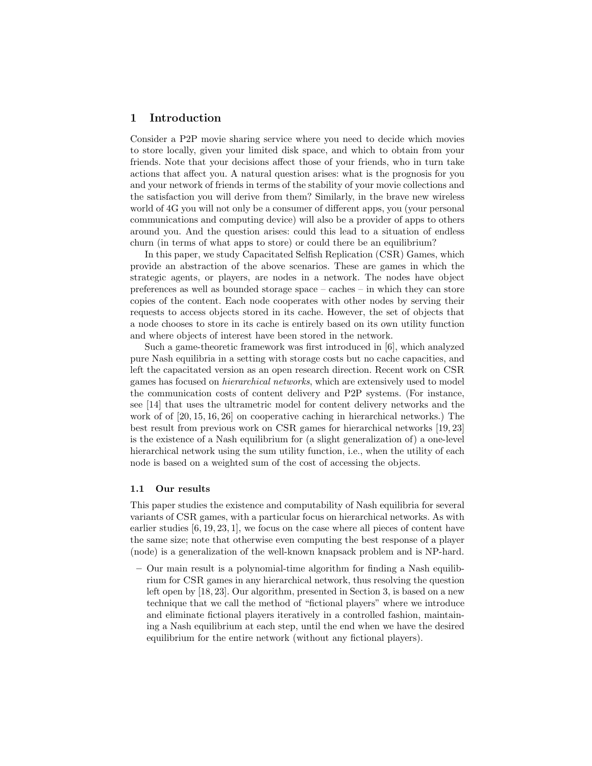# 1 Introduction

Consider a P2P movie sharing service where you need to decide which movies to store locally, given your limited disk space, and which to obtain from your friends. Note that your decisions affect those of your friends, who in turn take actions that affect you. A natural question arises: what is the prognosis for you and your network of friends in terms of the stability of your movie collections and the satisfaction you will derive from them? Similarly, in the brave new wireless world of 4G you will not only be a consumer of different apps, you (your personal communications and computing device) will also be a provider of apps to others around you. And the question arises: could this lead to a situation of endless churn (in terms of what apps to store) or could there be an equilibrium?

In this paper, we study Capacitated Selfish Replication (CSR) Games, which provide an abstraction of the above scenarios. These are games in which the strategic agents, or players, are nodes in a network. The nodes have object preferences as well as bounded storage space – caches – in which they can store copies of the content. Each node cooperates with other nodes by serving their requests to access objects stored in its cache. However, the set of objects that a node chooses to store in its cache is entirely based on its own utility function and where objects of interest have been stored in the network.

Such a game-theoretic framework was first introduced in [6], which analyzed pure Nash equilibria in a setting with storage costs but no cache capacities, and left the capacitated version as an open research direction. Recent work on CSR games has focused on hierarchical networks, which are extensively used to model the communication costs of content delivery and P2P systems. (For instance, see [14] that uses the ultrametric model for content delivery networks and the work of  $[20, 15, 16, 26]$  on cooperative caching in hierarchical networks.) The best result from previous work on CSR games for hierarchical networks [19, 23] is the existence of a Nash equilibrium for (a slight generalization of) a one-level hierarchical network using the sum utility function, i.e., when the utility of each node is based on a weighted sum of the cost of accessing the objects.

#### 1.1 Our results

This paper studies the existence and computability of Nash equilibria for several variants of CSR games, with a particular focus on hierarchical networks. As with earlier studies [6, 19, 23, 1], we focus on the case where all pieces of content have the same size; note that otherwise even computing the best response of a player (node) is a generalization of the well-known knapsack problem and is NP-hard.

– Our main result is a polynomial-time algorithm for finding a Nash equilibrium for CSR games in any hierarchical network, thus resolving the question left open by [18, 23]. Our algorithm, presented in Section 3, is based on a new technique that we call the method of "fictional players" where we introduce and eliminate fictional players iteratively in a controlled fashion, maintaining a Nash equilibrium at each step, until the end when we have the desired equilibrium for the entire network (without any fictional players).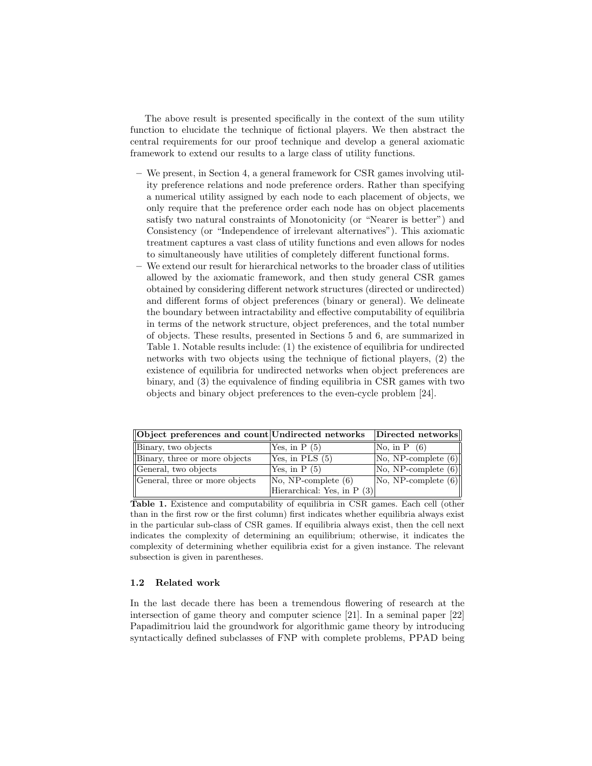The above result is presented specifically in the context of the sum utility function to elucidate the technique of fictional players. We then abstract the central requirements for our proof technique and develop a general axiomatic framework to extend our results to a large class of utility functions.

- We present, in Section 4, a general framework for CSR games involving utility preference relations and node preference orders. Rather than specifying a numerical utility assigned by each node to each placement of objects, we only require that the preference order each node has on object placements satisfy two natural constraints of Monotonicity (or "Nearer is better") and Consistency (or "Independence of irrelevant alternatives"). This axiomatic treatment captures a vast class of utility functions and even allows for nodes to simultaneously have utilities of completely different functional forms.
- We extend our result for hierarchical networks to the broader class of utilities allowed by the axiomatic framework, and then study general CSR games obtained by considering different network structures (directed or undirected) and different forms of object preferences (binary or general). We delineate the boundary between intractability and effective computability of equilibria in terms of the network structure, object preferences, and the total number of objects. These results, presented in Sections 5 and 6, are summarized in Table 1. Notable results include: (1) the existence of equilibria for undirected networks with two objects using the technique of fictional players, (2) the existence of equilibria for undirected networks when object preferences are binary, and (3) the equivalence of finding equilibria in CSR games with two objects and binary object preferences to the even-cycle problem [24].

| Object preferences and count Undirected networks |                              | $\vert$ Directed networks $\vert\vert$ |
|--------------------------------------------------|------------------------------|----------------------------------------|
| Binary, two objects                              | Yes, in $P(5)$               | $\vert$ No, in P $\vert$ (6)           |
| Binary, three or more objects                    | $\text{Yes, in PLS } (5)$    | $\vert$ No, NP-complete $(6)\vert$     |
| General, two objects                             | $\text{Yes, in } P(5)$       | $\vert$ No, NP-complete $(6)\vert$     |
| General, three or more objects                   | $No, NP-complete (6)$        | $\vert$ No, NP-complete $(6)\vert$     |
|                                                  | Hierarchical: Yes, in $P(3)$ |                                        |

Table 1. Existence and computability of equilibria in CSR games. Each cell (other than in the first row or the first column) first indicates whether equilibria always exist in the particular sub-class of CSR games. If equilibria always exist, then the cell next indicates the complexity of determining an equilibrium; otherwise, it indicates the complexity of determining whether equilibria exist for a given instance. The relevant subsection is given in parentheses.

### 1.2 Related work

In the last decade there has been a tremendous flowering of research at the intersection of game theory and computer science [21]. In a seminal paper [22] Papadimitriou laid the groundwork for algorithmic game theory by introducing syntactically defined subclasses of FNP with complete problems, PPAD being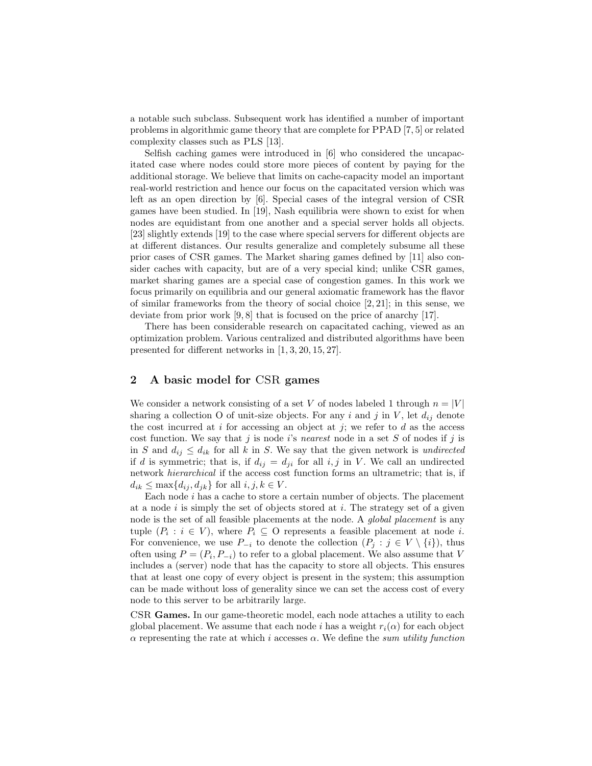a notable such subclass. Subsequent work has identified a number of important problems in algorithmic game theory that are complete for PPAD [7, 5] or related complexity classes such as PLS [13].

Selfish caching games were introduced in [6] who considered the uncapacitated case where nodes could store more pieces of content by paying for the additional storage. We believe that limits on cache-capacity model an important real-world restriction and hence our focus on the capacitated version which was left as an open direction by [6]. Special cases of the integral version of CSR games have been studied. In [19], Nash equilibria were shown to exist for when nodes are equidistant from one another and a special server holds all objects. [23] slightly extends [19] to the case where special servers for different objects are at different distances. Our results generalize and completely subsume all these prior cases of CSR games. The Market sharing games defined by [11] also consider caches with capacity, but are of a very special kind; unlike CSR games, market sharing games are a special case of congestion games. In this work we focus primarily on equilibria and our general axiomatic framework has the flavor of similar frameworks from the theory of social choice  $[2, 21]$ ; in this sense, we deviate from prior work [9, 8] that is focused on the price of anarchy [17].

There has been considerable research on capacitated caching, viewed as an optimization problem. Various centralized and distributed algorithms have been presented for different networks in [1, 3, 20, 15, 27].

## 2 A basic model for CSR games

We consider a network consisting of a set V of nodes labeled 1 through  $n = |V|$ sharing a collection O of unit-size objects. For any i and j in V, let  $d_{ij}$  denote the cost incurred at  $i$  for accessing an object at  $j$ ; we refer to  $d$  as the access cost function. We say that j is node i's nearest node in a set S of nodes if j is in S and  $d_{ij} \leq d_{ik}$  for all k in S. We say that the given network is undirected if d is symmetric; that is, if  $d_{ij} = d_{ji}$  for all i, j in V. We call an undirected network hierarchical if the access cost function forms an ultrametric; that is, if  $d_{ik} \leq \max\{d_{ij}, d_{jk}\}\$ for all  $i, j, k \in V$ .

Each node  $i$  has a cache to store a certain number of objects. The placement at a node  $i$  is simply the set of objects stored at  $i$ . The strategy set of a given node is the set of all feasible placements at the node. A *global placement* is any tuple  $(P_i : i \in V)$ , where  $P_i \subseteq O$  represents a feasible placement at node i. For convenience, we use  $P_{-i}$  to denote the collection  $(P_i : j \in V \setminus \{i\})$ , thus often using  $P = (P_i, P_{-i})$  to refer to a global placement. We also assume that V includes a (server) node that has the capacity to store all objects. This ensures that at least one copy of every object is present in the system; this assumption can be made without loss of generality since we can set the access cost of every node to this server to be arbitrarily large.

CSR Games. In our game-theoretic model, each node attaches a utility to each global placement. We assume that each node i has a weight  $r_i(\alpha)$  for each object  $\alpha$  representing the rate at which i accesses  $\alpha$ . We define the sum utility function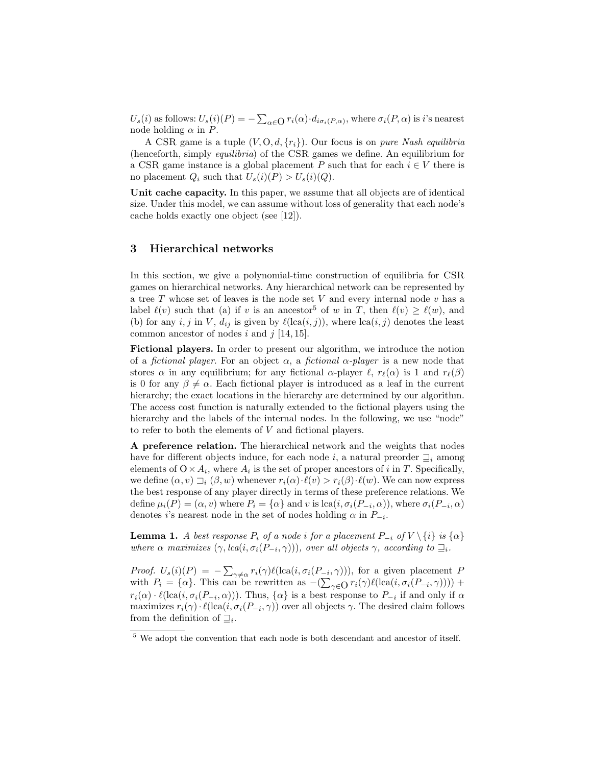$U_s(i)$  as follows:  $U_s(i)(P) = -\sum_{\alpha \in \mathcal{O}} r_i(\alpha) \cdot d_{i\sigma_i(P,\alpha)}$ , where  $\sigma_i(P,\alpha)$  is *i*'s nearest node holding  $\alpha$  in P.

A CSR game is a tuple  $(V, O, d, \{r_i\})$ . Our focus is on pure Nash equilibria (henceforth, simply equilibria) of the CSR games we define. An equilibrium for a CSR game instance is a global placement P such that for each  $i \in V$  there is no placement  $Q_i$  such that  $U_s(i)(P) > U_s(i)(Q)$ .

Unit cache capacity. In this paper, we assume that all objects are of identical size. Under this model, we can assume without loss of generality that each node's cache holds exactly one object (see [12]).

### 3 Hierarchical networks

In this section, we give a polynomial-time construction of equilibria for CSR games on hierarchical networks. Any hierarchical network can be represented by a tree  $T$  whose set of leaves is the node set  $V$  and every internal node  $v$  has a label  $\ell(v)$  such that (a) if v is an ancestor<sup>5</sup> of w in T, then  $\ell(v) \geq \ell(w)$ , and (b) for any i, j in V,  $d_{ij}$  is given by  $\ell(\text{lca}(i, j))$ , where  $\text{lca}(i, j)$  denotes the least common ancestor of nodes i and j  $[14, 15]$ .

Fictional players. In order to present our algorithm, we introduce the notion of a *fictional player*. For an object  $\alpha$ , a *fictional*  $\alpha$ -*player* is a new node that stores  $\alpha$  in any equilibrium; for any fictional  $\alpha$ -player  $\ell$ ,  $r_{\ell}(\alpha)$  is 1 and  $r_{\ell}(\beta)$ is 0 for any  $\beta \neq \alpha$ . Each fictional player is introduced as a leaf in the current hierarchy; the exact locations in the hierarchy are determined by our algorithm. The access cost function is naturally extended to the fictional players using the hierarchy and the labels of the internal nodes. In the following, we use "node" to refer to both the elements of  $V$  and fictional players.

A preference relation. The hierarchical network and the weights that nodes have for different objects induce, for each node i, a natural preorder  $\mathcal{Q}_i$  among elements of  $0 \times A_i$ , where  $A_i$  is the set of proper ancestors of i in T. Specifically, we define  $(\alpha, v) \rightrightarrows_i (\beta, w)$  whenever  $r_i(\alpha) \rightrightarrows (v) > r_i(\beta) \rightrightarrows (w)$ . We can now express the best response of any player directly in terms of these preference relations. We define  $\mu_i(P) = (\alpha, v)$  where  $P_i = {\alpha}$  and v is  $lca(i, \sigma_i(P_{-i}, \alpha))$ , where  $\sigma_i(P_{-i}, \alpha)$ denotes i's nearest node in the set of nodes holding  $\alpha$  in  $P_{-i}$ .

**Lemma 1.** A best response  $P_i$  of a node i for a placement  $P_{-i}$  of  $V \setminus \{i\}$  is  $\{\alpha\}$ where  $\alpha$  maximizes  $(\gamma, \text{lca}(i, \sigma_i(P_{-i}, \gamma)))$ , over all objects  $\gamma$ , according to  $\exists_i$ .

Proof.  $U_s(i)(P) = -\sum_{\gamma \neq \alpha} r_i(\gamma) \ell(\text{lca}(i, \sigma_i(P_{-i}, \gamma)))$ , for a given placement P with  $P_i = {\alpha}$ . This can be rewritten as  $-(\sum_{\gamma \in \mathcal{O}} r_i(\gamma) \ell (\text{lca}(i, \sigma_i(P_{-i}, \gamma)))) +$  $r_i(\alpha) \cdot \ell(\text{lca}(i, \sigma_i(P_{-i}, \alpha)))$ . Thus,  $\{\alpha\}$  is a best response to  $P_{-i}$  if and only if  $\alpha$ maximizes  $r_i(\gamma) \cdot \ell(\text{lca}(i, \sigma_i(P_{-i}, \gamma))$  over all objects  $\gamma$ . The desired claim follows from the definition of  $\mathcal{Q}_i$ .

 $^5$  We adopt the convention that each node is both descendant and ancestor of itself.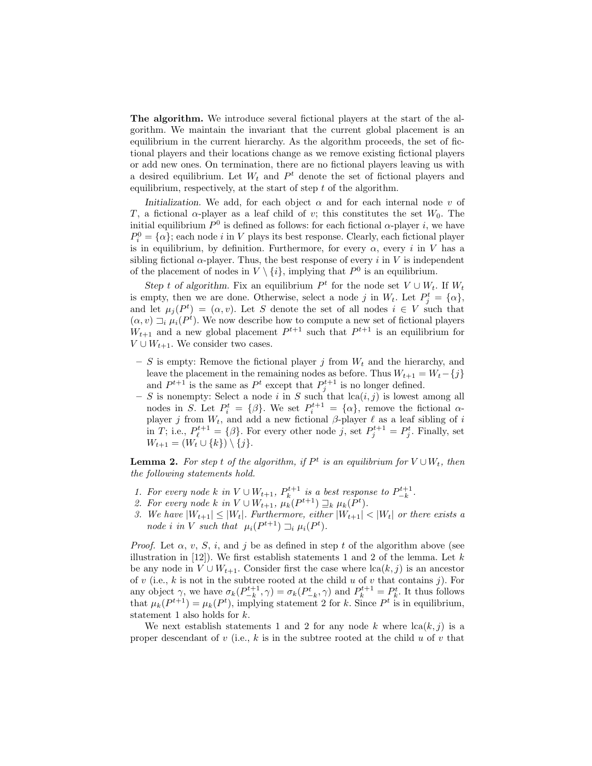The algorithm. We introduce several fictional players at the start of the algorithm. We maintain the invariant that the current global placement is an equilibrium in the current hierarchy. As the algorithm proceeds, the set of fictional players and their locations change as we remove existing fictional players or add new ones. On termination, there are no fictional players leaving us with a desired equilibrium. Let  $W_t$  and  $P<sup>t</sup>$  denote the set of fictional players and equilibrium, respectively, at the start of step  $t$  of the algorithm.

Initialization. We add, for each object  $\alpha$  and for each internal node v of T, a fictional  $\alpha$ -player as a leaf child of v; this constitutes the set  $W_0$ . The initial equilibrium  $P^0$  is defined as follows: for each fictional  $\alpha$ -player *i*, we have  $P_i^0 = {\alpha}$ ; each node *i* in *V* plays its best response. Clearly, each fictional player is in equilibrium, by definition. Furthermore, for every  $\alpha$ , every i in V has a sibling fictional  $\alpha$ -player. Thus, the best response of every i in V is independent of the placement of nodes in  $V \setminus \{i\}$ , implying that  $P^0$  is an equilibrium.

Step t of algorithm. Fix an equilibrium  $P<sup>t</sup>$  for the node set  $V \cup W_t$ . If  $W_t$ is empty, then we are done. Otherwise, select a node j in  $W_t$ . Let  $P_j^t = {\alpha}$ , and let  $\mu_j(P^t) = (\alpha, v)$ . Let S denote the set of all nodes  $i \in V$  such that  $(\alpha, v) \rightharpoonup_i \mu_i(P^t)$ . We now describe how to compute a new set of fictional players  $W_{t+1}$  and a new global placement  $P^{t+1}$  such that  $P^{t+1}$  is an equilibrium for  $V \cup W_{t+1}$ . We consider two cases.

- S is empty: Remove the fictional player j from  $W_t$  and the hierarchy, and leave the placement in the remaining nodes as before. Thus  $W_{t+1} = W_t - \{j\}$ and  $P^{t+1}$  is the same as  $P^t$  except that  $P_j^{t+1}$  is no longer defined.
- S is nonempty: Select a node i in S such that  $lca(i, j)$  is lowest among all nodes in S. Let  $P_i^t = \{\beta\}$ . We set  $P_i^{t+1} = \{\alpha\}$ , remove the fictional  $\alpha$ player j from  $W_t$ , and add a new fictional  $\beta$ -player  $\ell$  as a leaf sibling of i in T; i.e.,  $P_{\ell}^{t+1} = \{\beta\}$ . For every other node j, set  $P_j^{t+1} = P_j^t$ . Finally, set  $W_{t+1} = (W_t \cup \{k\}) \setminus \{j\}.$

**Lemma 2.** For step t of the algorithm, if  $P^t$  is an equilibrium for  $V \cup W_t$ , then the following statements hold.

- 1. For every node k in  $V \cup W_{t+1}$ ,  $P_k^{t+1}$  is a best response to  $P_{-k}^{t+1}$ .
- 2. For every node k in  $V \cup W_{t+1}$ ,  $\mu_k(P^{t+1}) \sqsupseteq_k \mu_k(P^t)$ .
- 3. We have  $|W_{t+1}| \leq |W_t|$ . Furthermore, either  $|W_{t+1}| < |W_t|$  or there exists a node *i* in *V* such that  $\mu_i(P^{t+1}) \rightrightarrows_i \mu_i(P^t)$ .

*Proof.* Let  $\alpha$ , v, S, i, and j be as defined in step t of the algorithm above (see illustration in  $[12]$ ). We first establish statements 1 and 2 of the lemma. Let k be any node in  $V \cup W_{t+1}$ . Consider first the case where  $lca(k, j)$  is an ancestor of  $v$  (i.e.,  $k$  is not in the subtree rooted at the child  $u$  of  $v$  that contains  $j$ ). For any object  $\gamma$ , we have  $\sigma_k(P_{-k}^{t+1}, \gamma) = \sigma_k(P_{-k}^t, \gamma)$  and  $P_k^{t+1} = P_k^t$ . It thus follows that  $\mu_k(P^{t+1}) = \mu_k(P^t)$ , implying statement 2 for k. Since  $P^t$  is in equilibrium, statement 1 also holds for k.

We next establish statements 1 and 2 for any node k where  $lca(k, j)$  is a proper descendant of v (i.e., k is in the subtree rooted at the child u of v that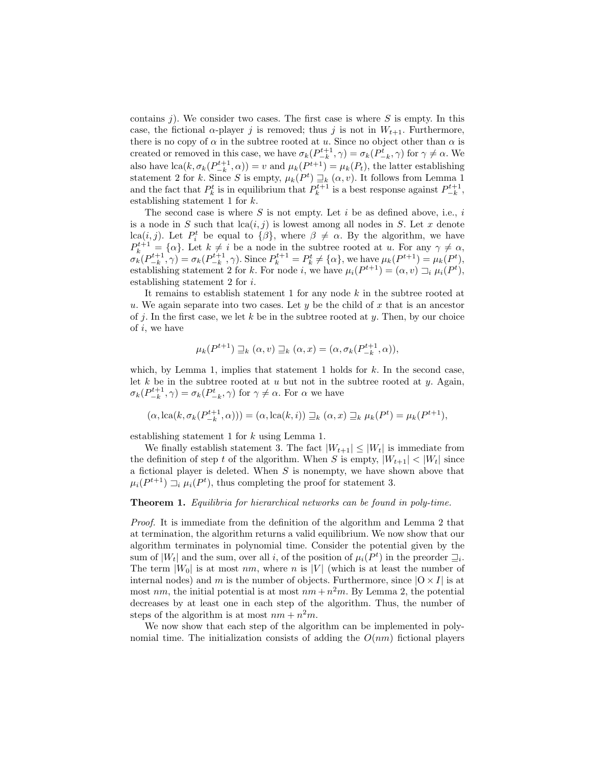contains  $j$ ). We consider two cases. The first case is where  $S$  is empty. In this case, the fictional  $\alpha$ -player j is removed; thus j is not in  $W_{t+1}$ . Furthermore, there is no copy of  $\alpha$  in the subtree rooted at u. Since no object other than  $\alpha$  is created or removed in this case, we have  $\sigma_k(P_{-k}^{t+1}, \gamma) = \sigma_k(P_{-k}^t, \gamma)$  for  $\gamma \neq \alpha$ . We also have  $lca(k, \sigma_k(P_{-k}^{t+1}, \alpha)) = v$  and  $\mu_k(P_{-k}^{t+1}) = \mu_k(P_t)$ , the latter establishing statement 2 for k. Since S is empty,  $\mu_k(P^t) \sqsupseteq_k (\alpha, v)$ . It follows from Lemma 1 and the fact that  $P_k^t$  is in equilibrium that  $P_k^{t+1}$  is a best response against  $P_{-k}^{t+1}$ , establishing statement 1 for  $k$ .

The second case is where  $S$  is not empty. Let  $i$  be as defined above, i.e.,  $i$ is a node in S such that  $lca(i, j)$  is lowest among all nodes in S. Let x denote lca $(i, j)$ . Let  $P_i^t$  be equal to  $\{\beta\}$ , where  $\beta \neq \alpha$ . By the algorithm, we have  $P_k^{t+1} = {\alpha}.$  Let  $k \neq i$  be a node in the subtree rooted at u. For any  $\gamma \neq \alpha$ ,  $\sigma_k^{\nu}(P_{-k}^{t+1}, \gamma) = \sigma_k(P_{-k}^{t+1}, \gamma)$ . Since  $P_k^{t+1} = P_k^t \neq {\alpha}$ , we have  $\mu_k(P^{t+1}) = \mu_k(P^t)$ , establishing statement 2 for k. For node i, we have  $\mu_i(P^{t+1}) = (\alpha, v) \sqsupseteq_i \mu_i(P^t)$ , establishing statement 2 for i.

It remains to establish statement 1 for any node  $k$  in the subtree rooted at u. We again separate into two cases. Let  $y$  be the child of x that is an ancestor of j. In the first case, we let k be in the subtree rooted at  $y$ . Then, by our choice of i, we have

$$
\mu_k(P^{t+1}) \sqsupseteq_k (\alpha, v) \sqsupseteq_k (\alpha, x) = (\alpha, \sigma_k(P_{-k}^{t+1}, \alpha)),
$$

which, by Lemma 1, implies that statement 1 holds for  $k$ . In the second case, let  $k$  be in the subtree rooted at  $u$  but not in the subtree rooted at  $y$ . Again,  $\sigma_k(P_{-k}^{t+1}, \gamma) = \sigma_k(P_{-k}^t, \gamma)$  for  $\gamma \neq \alpha$ . For  $\alpha$  we have

$$
(\alpha, \text{lca}(k, \sigma_k(P_{-k}^{t+1}, \alpha))) = (\alpha, \text{lca}(k, i)) \sqsupseteq_k (\alpha, x) \sqsupseteq_k \mu_k(P^t) = \mu_k(P^{t+1}),
$$

establishing statement 1 for k using Lemma 1.

We finally establish statement 3. The fact  $|W_{t+1}| \leq |W_t|$  is immediate from the definition of step t of the algorithm. When S is empty,  $|W_{t+1}| < |W_t|$  since a fictional player is deleted. When  $S$  is nonempty, we have shown above that  $\mu_i(P^{t+1}) \sqsupseteq_i \mu_i(P^t)$ , thus completing the proof for statement 3.

#### Theorem 1. Equilibria for hierarchical networks can be found in poly-time.

Proof. It is immediate from the definition of the algorithm and Lemma 2 that at termination, the algorithm returns a valid equilibrium. We now show that our algorithm terminates in polynomial time. Consider the potential given by the sum of  $|W_t|$  and the sum, over all i, of the position of  $\mu_i(P^t)$  in the preorder  $\mathcal{Q}_i$ . The term  $|W_0|$  is at most nm, where n is |V| (which is at least the number of internal nodes) and m is the number of objects. Furthermore, since  $|O \times I|$  is at most nm, the initial potential is at most  $nm + n^2m$ . By Lemma 2, the potential decreases by at least one in each step of the algorithm. Thus, the number of steps of the algorithm is at most  $nm + n^2m$ .

We now show that each step of the algorithm can be implemented in polynomial time. The initialization consists of adding the  $O(nm)$  fictional players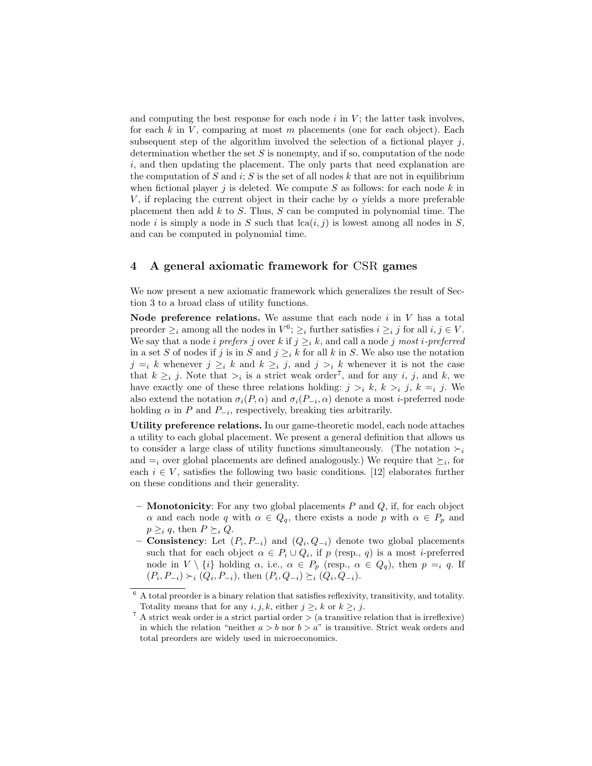and computing the best response for each node  $i$  in  $V$ ; the latter task involves, for each k in  $V$ , comparing at most m placements (one for each object). Each subsequent step of the algorithm involved the selection of a fictional player  $j$ , determination whether the set  $S$  is nonempty, and if so, computation of the node i, and then updating the placement. The only parts that need explanation are the computation of S and i; S is the set of all nodes  $k$  that are not in equilibrium when fictional player  $j$  is deleted. We compute  $S$  as follows: for each node  $k$  in V, if replacing the current object in their cache by  $\alpha$  yields a more preferable placement then add  $k$  to  $S$ . Thus,  $S$  can be computed in polynomial time. The node i is simply a node in S such that  $lca(i, j)$  is lowest among all nodes in S, and can be computed in polynomial time.

# 4 A general axiomatic framework for CSR games

We now present a new axiomatic framework which generalizes the result of Section 3 to a broad class of utility functions.

Node preference relations. We assume that each node  $i$  in  $V$  has a total preorder  $\geq_i$  among all the nodes in  $V^6$ ;  $\geq_i$  further satisfies  $i \geq_i j$  for all  $i, j \in V$ . We say that a node *i prefers j* over k if  $j \geq i$ , k, and call a node j most *i*-preferred in a set S of nodes if j is in S and  $j \geq i$  k for all k in S. We also use the notation  $j =i k$  whenever  $j \geq i k$  and  $k \geq i j$ , and  $j >i k$  whenever it is not the case that  $k \geq i$  j. Note that  $\gt_i$  is a strict weak order<sup>7</sup>, and for any i, j, and k, we have exactly one of these three relations holding:  $j >_i k$ ,  $k >_i j$ ,  $k =_i j$ . We also extend the notation  $\sigma_i(P, \alpha)$  and  $\sigma_i(P_{-i}, \alpha)$  denote a most *i*-preferred node holding  $\alpha$  in P and  $P_{-i}$ , respectively, breaking ties arbitrarily.

Utility preference relations. In our game-theoretic model, each node attaches a utility to each global placement. We present a general definition that allows us to consider a large class of utility functions simultaneously. (The notation  $\succ_i$ and  $\equiv_i$  over global placements are defined analogously.) We require that  $\succeq_i$ , for each  $i \in V$ , satisfies the following two basic conditions. [12] elaborates further on these conditions and their generality.

- **Monotonicity**: For any two global placements  $P$  and  $Q$ , if, for each object  $\alpha$  and each node q with  $\alpha \in Q_q$ , there exists a node p with  $\alpha \in P_p$  and  $p \geq_i q$ , then  $P \succeq_i Q$ .
- − **Consistency**: Let  $(P_i, P_{-i})$  and  $(Q_i, Q_{-i})$  denote two global placements such that for each object  $\alpha \in P_i \cup Q_i$ , if p (resp., q) is a most *i*-preferred node in  $V \setminus \{i\}$  holding  $\alpha$ , i.e.,  $\alpha \in P_p$  (resp.,  $\alpha \in Q_q$ ), then  $p =_i q$ . If  $(P_i, P_{-i}) \succ_i (Q_i, P_{-i}),$  then  $(P_i, Q_{-i}) \succeq_i (Q_i, Q_{-i}).$

 $6A$  total preorder is a binary relation that satisfies reflexivity, transitivity, and totality. Totality means that for any  $i, j, k$ , either  $j \geq_i k$  or  $k \geq_i j$ .

 $7 A$  strict weak order is a strict partial order  $>(a$  transitive relation that is irreflexive) in which the relation "neither  $a > b$  nor  $b > a$ " is transitive. Strict weak orders and total preorders are widely used in microeconomics.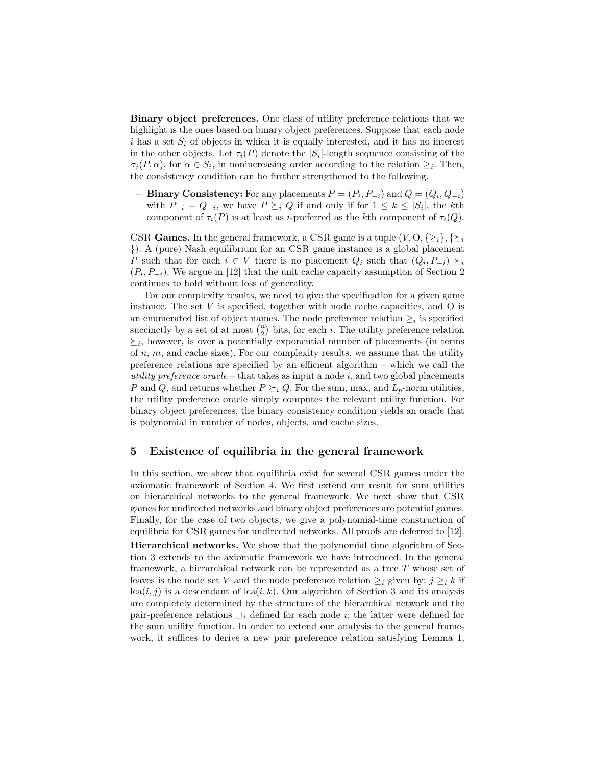Binary object preferences. One class of utility preference relations that we highlight is the ones based on binary object preferences. Suppose that each node i has a set  $S_i$  of objects in which it is equally interested, and it has no interest in the other objects. Let  $\tau_i(P)$  denote the  $|S_i|$ -length sequence consisting of the  $\sigma_i(P,\alpha)$ , for  $\alpha \in S_i$ , in nonincreasing order according to the relation  $\geq_i$ . Then, the consistency condition can be further strengthened to the following.

- **Binary Consistency:** For any placements  $P = (P_i, P_{-i})$  and  $Q = (Q_i, Q_{-i})$ with  $P_{-i} = Q_{-i}$ , we have  $P \succeq_i Q$  if and only if for  $1 \leq k \leq |S_i|$ , the kth component of  $\tau_i(P)$  is at least as *i*-preferred as the kth component of  $\tau_i(Q)$ .

CSR Games. In the general framework, a CSR game is a tuple  $(V, O, \{\geq_i\}, \{\succeq_i\})$ }). A (pure) Nash equilibrium for an CSR game instance is a global placement P such that for each  $i \in V$  there is no placement  $Q_i$  such that  $(Q_i, P_{-i}) \succ_i$  $(P_i, P_{-i})$ . We argue in [12] that the unit cache capacity assumption of Section 2 continues to hold without loss of generality.

For our complexity results, we need to give the specification for a given game instance. The set  $V$  is specified, together with node cache capacities, and  $O$  is an enumerated list of object names. The node preference relation  $\geq_i$  is specified succinctly by a set of at most  $\binom{n}{2}$  bits, for each i. The utility preference relation  $\geq_i$ , however, is over a potentially exponential number of placements (in terms of  $n, m$ , and cache sizes). For our complexity results, we assume that the utility preference relations are specified by an efficient algorithm – which we call the utility preference oracle – that takes as input a node  $i$ , and two global placements P and Q, and returns whether  $P \succeq_i Q$ . For the sum, max, and  $L_p$ -norm utilities, the utility preference oracle simply computes the relevant utility function. For binary object preferences, the binary consistency condition yields an oracle that is polynomial in number of nodes, objects, and cache sizes.

### 5 Existence of equilibria in the general framework

In this section, we show that equilibria exist for several CSR games under the axiomatic framework of Section 4. We first extend our result for sum utilities on hierarchical networks to the general framework. We next show that CSR games for undirected networks and binary object preferences are potential games. Finally, for the case of two objects, we give a polynomial-time construction of equilibria for CSR games for undirected networks. All proofs are deferred to [12]. Hierarchical networks. We show that the polynomial time algorithm of Section 3 extends to the axiomatic framework we have introduced. In the general framework, a hierarchical network can be represented as a tree T whose set of leaves is the node set V and the node preference relation  $\geq_i$  given by:  $j \geq_i k$  if  $lca(i, j)$  is a descendant of lca $(i, k)$ . Our algorithm of Section 3 and its analysis are completely determined by the structure of the hierarchical network and the pair-preference relations  $\Box_i$  defined for each node i; the latter were defined for the sum utility function. In order to extend our analysis to the general framework, it suffices to derive a new pair preference relation satisfying Lemma 1,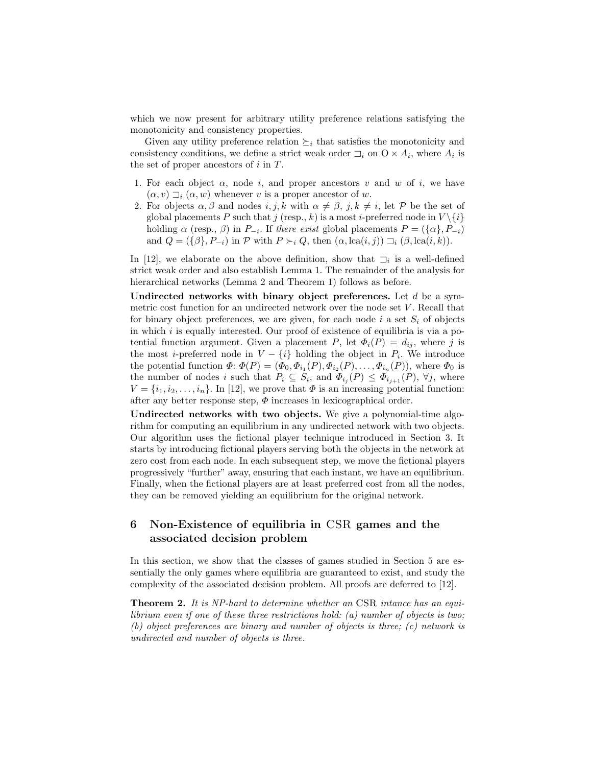which we now present for arbitrary utility preference relations satisfying the monotonicity and consistency properties.

Given any utility preference relation  $\geq_i$  that satisfies the monotonicity and consistency conditions, we define a strict weak order  $\Box_i$  on  $O \times A_i$ , where  $A_i$  is the set of proper ancestors of  $i$  in  $T$ .

- 1. For each object  $\alpha$ , node i, and proper ancestors v and w of i, we have  $(\alpha, v) \sqsupset_i (\alpha, w)$  whenever v is a proper ancestor of w.
- 2. For objects  $\alpha, \beta$  and nodes  $i, j, k$  with  $\alpha \neq \beta, j, k \neq i$ , let P be the set of global placements P such that  $j$  (resp., k) is a most *i*-preferred node in  $V \setminus \{i\}$ holding  $\alpha$  (resp.,  $\beta$ ) in  $P_{-i}$ . If there exist global placements  $P = (\{\alpha\}, P_{-i})$ and  $Q = (\{\beta\}, P_{-i})$  in  $P$  with  $P \succ_i Q$ , then  $(\alpha, \text{lca}(i, j)) \sqsupset_i (\beta, \text{lca}(i, k)).$

In [12], we elaborate on the above definition, show that  $\Box_i$  is a well-defined strict weak order and also establish Lemma 1. The remainder of the analysis for hierarchical networks (Lemma 2 and Theorem 1) follows as before.

Undirected networks with binary object preferences. Let  $d$  be a symmetric cost function for an undirected network over the node set  $V$ . Recall that for binary object preferences, we are given, for each node i a set  $S_i$  of objects in which  $i$  is equally interested. Our proof of existence of equilibria is via a potential function argument. Given a placement P, let  $\Phi_i(P) = d_{ij}$ , where j is the most *i*-preferred node in  $V - \{i\}$  holding the object in  $P_i$ . We introduce the potential function  $\Phi: \Phi(P) = (\Phi_0, \Phi_{i_1}(P), \Phi_{i_2}(P), \ldots, \Phi_{i_n}(P)),$  where  $\Phi_0$  is the number of nodes i such that  $P_i \subseteq S_i$ , and  $\Phi_{i_j}(P) \leq \Phi_{i_{j+1}}(P)$ ,  $\forall j$ , where  $V = \{i_1, i_2, \ldots, i_n\}$ . In [12], we prove that  $\Phi$  is an increasing potential function: after any better response step,  $\Phi$  increases in lexicographical order.

Undirected networks with two objects. We give a polynomial-time algorithm for computing an equilibrium in any undirected network with two objects. Our algorithm uses the fictional player technique introduced in Section 3. It starts by introducing fictional players serving both the objects in the network at zero cost from each node. In each subsequent step, we move the fictional players progressively "further" away, ensuring that each instant, we have an equilibrium. Finally, when the fictional players are at least preferred cost from all the nodes, they can be removed yielding an equilibrium for the original network.

# 6 Non-Existence of equilibria in CSR games and the associated decision problem

In this section, we show that the classes of games studied in Section 5 are essentially the only games where equilibria are guaranteed to exist, and study the complexity of the associated decision problem. All proofs are deferred to [12].

Theorem 2. It is NP-hard to determine whether an CSR intance has an equilibrium even if one of these three restrictions hold: (a) number of objects is two; (b) object preferences are binary and number of objects is three; (c) network is undirected and number of objects is three.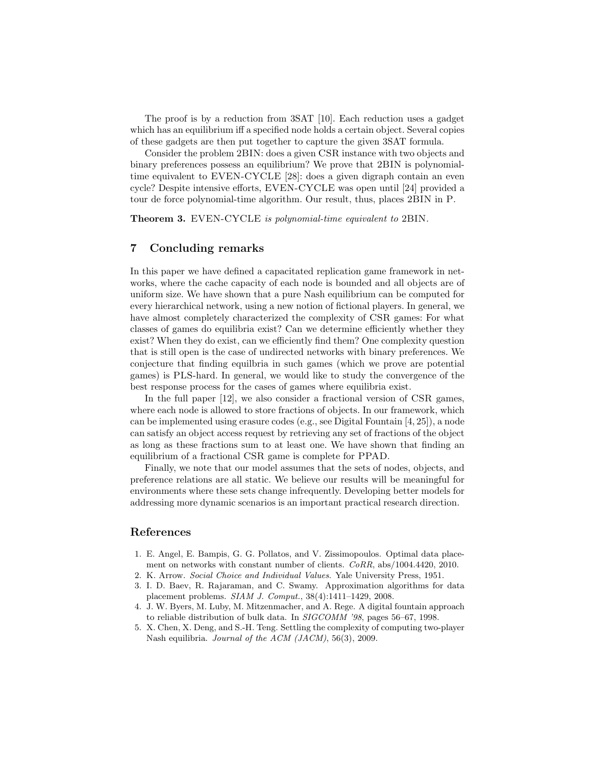The proof is by a reduction from 3SAT [10]. Each reduction uses a gadget which has an equilibrium iff a specified node holds a certain object. Several copies of these gadgets are then put together to capture the given 3SAT formula.

Consider the problem 2BIN: does a given CSR instance with two objects and binary preferences possess an equilibrium? We prove that 2BIN is polynomialtime equivalent to EVEN-CYCLE [28]: does a given digraph contain an even cycle? Despite intensive efforts, EVEN-CYCLE was open until [24] provided a tour de force polynomial-time algorithm. Our result, thus, places 2BIN in P.

Theorem 3. EVEN-CYCLE is polynomial-time equivalent to 2BIN.

### 7 Concluding remarks

In this paper we have defined a capacitated replication game framework in networks, where the cache capacity of each node is bounded and all objects are of uniform size. We have shown that a pure Nash equilibrium can be computed for every hierarchical network, using a new notion of fictional players. In general, we have almost completely characterized the complexity of CSR games: For what classes of games do equilibria exist? Can we determine efficiently whether they exist? When they do exist, can we efficiently find them? One complexity question that is still open is the case of undirected networks with binary preferences. We conjecture that finding equilbria in such games (which we prove are potential games) is PLS-hard. In general, we would like to study the convergence of the best response process for the cases of games where equilibria exist.

In the full paper [12], we also consider a fractional version of CSR games, where each node is allowed to store fractions of objects. In our framework, which can be implemented using erasure codes (e.g., see Digital Fountain [4, 25]), a node can satisfy an object access request by retrieving any set of fractions of the object as long as these fractions sum to at least one. We have shown that finding an equilibrium of a fractional CSR game is complete for PPAD.

Finally, we note that our model assumes that the sets of nodes, objects, and preference relations are all static. We believe our results will be meaningful for environments where these sets change infrequently. Developing better models for addressing more dynamic scenarios is an important practical research direction.

## References

- 1. E. Angel, E. Bampis, G. G. Pollatos, and V. Zissimopoulos. Optimal data placement on networks with constant number of clients. CoRR, abs/1004.4420, 2010.
- 2. K. Arrow. Social Choice and Individual Values. Yale University Press, 1951.
- 3. I. D. Baev, R. Rajaraman, and C. Swamy. Approximation algorithms for data placement problems. SIAM J. Comput., 38(4):1411–1429, 2008.
- 4. J. W. Byers, M. Luby, M. Mitzenmacher, and A. Rege. A digital fountain approach to reliable distribution of bulk data. In SIGCOMM '98, pages 56–67, 1998.
- 5. X. Chen, X. Deng, and S.-H. Teng. Settling the complexity of computing two-player Nash equilibria. Journal of the ACM (JACM), 56(3), 2009.